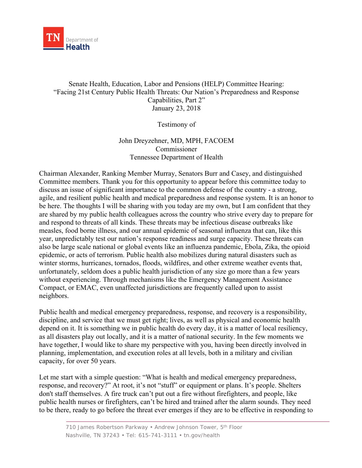

## Senate Health, Education, Labor and Pensions (HELP) Committee Hearing: "Facing 21st Century Public Health Threats: Our Nation's Preparedness and Response Capabilities, Part 2" January 23, 2018

Testimony of

## John Dreyzehner, MD, MPH, FACOEM Commissioner Tennessee Department of Health

Chairman Alexander, Ranking Member Murray, Senators Burr and Casey, and distinguished Committee members. Thank you for this opportunity to appear before this committee today to discuss an issue of significant importance to the common defense of the country - a strong, agile, and resilient public health and medical preparedness and response system. It is an honor to be here. The thoughts I will be sharing with you today are my own, but I am confident that they are shared by my public health colleagues across the country who strive every day to prepare for and respond to threats of all kinds. These threats may be infectious disease outbreaks like measles, food borne illness, and our annual epidemic of seasonal influenza that can, like this year, unpredictably test our nation's response readiness and surge capacity. These threats can also be large scale national or global events like an influenza pandemic, Ebola, Zika, the opioid epidemic, or acts of terrorism. Public health also mobilizes during natural disasters such as winter storms, hurricanes, tornados, floods, wildfires, and other extreme weather events that, unfortunately, seldom does a public health jurisdiction of any size go more than a few years without experiencing. Through mechanisms like the Emergency Management Assistance Compact, or EMAC, even unaffected jurisdictions are frequently called upon to assist neighbors.

Public health and medical emergency preparedness, response, and recovery is a responsibility, discipline, and service that we must get right; lives, as well as physical and economic health depend on it. It is something we in public health do every day, it is a matter of local resiliency, as all disasters play out locally, and it is a matter of national security. In the few moments we have together, I would like to share my perspective with you, having been directly involved in planning, implementation, and execution roles at all levels, both in a military and civilian capacity, for over 50 years.

Let me start with a simple question: "What is health and medical emergency preparedness, response, and recovery?" At root, it's not "stuff" or equipment or plans. It's people. Shelters don't staff themselves. A fire truck can't put out a fire without firefighters, and people, like public health nurses or firefighters, can't be hired and trained after the alarm sounds. They need to be there, ready to go before the threat ever emerges if they are to be effective in responding to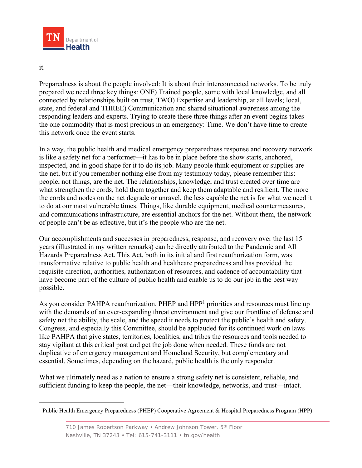

## it.

Preparedness is about the people involved: It is about their interconnected networks. To be truly prepared we need three key things: ONE) Trained people, some with local knowledge, and all connected by relationships built on trust, TWO) Expertise and leadership, at all levels; local, state, and federal and THREE) Communication and shared situational awareness among the responding leaders and experts. Trying to create these three things after an event begins takes the one commodity that is most precious in an emergency: Time. We don't have time to create this network once the event starts.

In a way, the public health and medical emergency preparedness response and recovery network is like a safety net for a performer—it has to be in place before the show starts, anchored, inspected, and in good shape for it to do its job. Many people think equipment or supplies are the net, but if you remember nothing else from my testimony today, please remember this: people, not things, are the net. The relationships, knowledge, and trust created over time are what strengthen the cords, hold them together and keep them adaptable and resilient. The more the cords and nodes on the net degrade or unravel, the less capable the net is for what we need it to do at our most vulnerable times. Things, like durable equipment, medical countermeasures, and communications infrastructure, are essential anchors for the net. Without them, the network of people can't be as effective, but it's the people who are the net.

Our accomplishments and successes in preparedness, response, and recovery over the last 15 years (illustrated in my written remarks) can be directly attributed to the Pandemic and All Hazards Preparedness Act. This Act, both in its initial and first reauthorization form, was transformative relative to public health and healthcare preparedness and has provided the requisite direction, authorities, authorization of resources, and cadence of accountability that have become part of the culture of public health and enable us to do our job in the best way possible.

As you consider PAHPA reauthorization, PHEP and HPP<sup>1</sup> priorities and resources must line up with the demands of an ever-expanding threat environment and give our frontline of defense and safety net the ability, the scale, and the speed it needs to protect the public's health and safety. Congress, and especially this Committee, should be applauded for its continued work on laws like PAHPA that give states, territories, localities, and tribes the resources and tools needed to stay vigilant at this critical post and get the job done when needed. These funds are not duplicative of emergency management and Homeland Security, but complementary and essential. Sometimes, depending on the hazard, public health is the only responder.

What we ultimately need as a nation to ensure a strong safety net is consistent, reliable, and sufficient funding to keep the people, the net—their knowledge, networks, and trust—intact.

<sup>&</sup>lt;sup>1</sup> Public Health Emergency Preparedness (PHEP) Cooperative Agreement & Hospital Preparedness Program (HPP)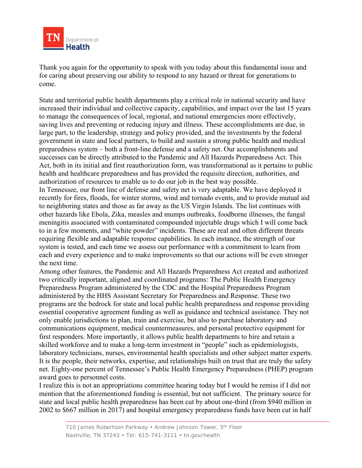

Thank you again for the opportunity to speak with you today about this fundamental issue and for caring about preserving our ability to respond to any hazard or threat for generations to come.

State and territorial public health departments play a critical role in national security and have increased their individual and collective capacity, capabilities, and impact over the last 15 years to manage the consequences of local, regional, and national emergencies more effectively, saving lives and preventing or reducing injury and illness. These accomplishments are due, in large part, to the leadership, strategy and policy provided, and the investments by the federal government in state and local partners, to build and sustain a strong public health and medical preparedness system – both a front-line defense and a safety net. Our accomplishments and successes can be directly attributed to the Pandemic and All Hazards Preparedness Act. This Act, both in its initial and first reauthorization form, was transformational as it pertains to public health and healthcare preparedness and has provided the requisite direction, authorities, and authorization of resources to enable us to do our job in the best way possible.

In Tennessee, our front line of defense and safety net is very adaptable. We have deployed it recently for fires, floods, for winter storms, wind and tornado events, and to provide mutual aid to neighboring states and those as far away as the US Virgin Islands. The list continues with other hazards like Ebola, Zika, measles and mumps outbreaks, foodborne illnesses, the fungal meningitis associated with contaminated compounded injectable drugs which I will come back to in a few moments, and "white powder" incidents. These are real and often different threats requiring flexible and adaptable response capabilities. In each instance, the strength of our system is tested, and each time we assess our performance with a commitment to learn from each and every experience and to make improvements so that our actions will be even stronger the next time.

Among other features, the Pandemic and All Hazards Preparedness Act created and authorized two critically important, aligned and coordinated programs: The Public Health Emergency Preparedness Program administered by the CDC and the Hospital Preparedness Program administered by the HHS Assistant Secretary for Preparedness and Response. These two programs are the bedrock for state and local public health preparedness and response providing essential cooperative agreement funding as well as guidance and technical assistance. They not only enable jurisdictions to plan, train and exercise, but also to purchase laboratory and communications equipment, medical countermeasures, and personal protective equipment for first responders. More importantly, it allows public health departments to hire and retain a skilled workforce and to make a long-term investment in "people" such as epidemiologists, laboratory technicians, nurses, environmental health specialists and other subject matter experts. It is the people, their networks, expertise, and relationships built on trust that are truly the safety net. Eighty-one percent of Tennessee's Public Health Emergency Preparedness (PHEP) program award goes to personnel costs.

I realize this is not an appropriations committee hearing today but I would be remiss if I did not mention that the aforementioned funding is essential, but not sufficient. The primary source for state and local public health preparedness has been cut by about one-third (from \$940 million in 2002 to \$667 million in 2017) and hospital emergency preparedness funds have been cut in half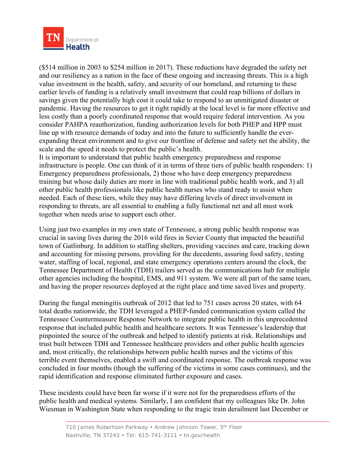

(\$514 million in 2003 to \$254 million in 2017). These reductions have degraded the safety net and our resiliency as a nation in the face of these ongoing and increasing threats. This is a high value investment in the health, safety, and security of our homeland, and returning to these earlier levels of funding is a relatively small investment that could reap billions of dollars in savings given the potentially high cost it could take to respond to an unmitigated disaster or pandemic. Having the resources to get it right rapidly at the local level is far more effective and less costly than a poorly coordinated response that would require federal intervention. As you consider PAHPA reauthorization, funding authorization levels for both PHEP and HPP must line up with resource demands of today and into the future to sufficiently handle the everexpanding threat environment and to give our frontline of defense and safety net the ability, the scale and the speed it needs to protect the public's health.

It is important to understand that public health emergency preparedness and response infrastructure is people. One can think of it in terms of three tiers of public health responders: 1) Emergency preparedness professionals, 2) those who have deep emergency preparedness training but whose daily duties are more in line with traditional public health work, and 3) all other public health professionals like public health nurses who stand ready to assist when needed. Each of these tiers, while they may have differing levels of direct involvement in responding to threats, are all essential to enabling a fully functional net and all must work together when needs arise to support each other.

Using just two examples in my own state of Tennessee, a strong public health response was crucial in saving lives during the 2016 wild fires in Sevier County that impacted the beautiful town of Gatlinburg. In addition to staffing shelters, providing vaccines and care, tracking down and accounting for missing persons, providing for the decedents, assuring food safety, testing water, staffing of local, regional, and state emergency operations centers around the clock, the Tennessee Department of Health (TDH) trailers served as the communications hub for multiple other agencies including the hospital, EMS, and 911 system. We were all part of the same team, and having the proper resources deployed at the right place and time saved lives and property.

During the fungal meningitis outbreak of 2012 that led to 751 cases across 20 states, with 64 total deaths nationwide, the TDH leveraged a PHEP-funded communication system called the Tennessee Countermeasure Response Network to integrate public health in this unprecedented response that included public health and healthcare sectors. It was Tennessee's leadership that pinpointed the source of the outbreak and helped to identify patients at risk. Relationships and trust built between TDH and Tennessee healthcare providers and other public health agencies and, most critically, the relationships between public health nurses and the victims of this terrible event themselves, enabled a swift and coordinated response. The outbreak response was concluded in four months (though the suffering of the victims in some cases continues), and the rapid identification and response eliminated further exposure and cases.

These incidents could have been far worse if it were not for the preparedness efforts of the public health and medical systems. Similarly, I am confident that my colleagues like Dr. John Wiesman in Washington State when responding to the tragic train derailment last December or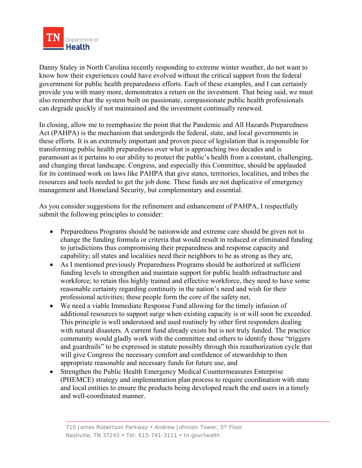

Danny Staley in North Carolina recently responding to extreme winter weather, do not want to know how their experiences could have evolved without the critical support from the federal government for public health preparedness efforts. Each of these examples, and I can certainly provide you with many more, demonstrates a return on the investment. That being said, we must also remember that the system built on passionate, compassionate public health professionals can degrade quickly if not maintained and the investment continually renewed.

In closing, allow me to reemphasize the point that the Pandemic and All Hazards Preparedness Act (PAHPA) is the mechanism that undergirds the federal, state, and local governments in these efforts. It is an extremely important and proven piece of legislation that is responsible for transforming public health preparedness over what is approaching two decades and is paramount as it pertains to our ability to protect the public's health from a constant, challenging, and changing threat landscape. Congress, and especially this Committee, should be applauded for its continued work on laws like PAHPA that give states, territories, localities, and tribes the resources and tools needed to get the job done. These funds are not duplicative of emergency management and Homeland Security, but complementary and essential.

As you consider suggestions for the refinement and enhancement of PAHPA, I respectfully submit the following principles to consider:

- Preparedness Programs should be nationwide and extreme care should be given not to change the funding formula or criteria that would result in reduced or eliminated funding to jurisdictions thus compromising their preparedness and response capacity and capability; all states and localities need their neighbors to be as strong as they are,
- As I mentioned previously Preparedness Programs should be authorized at sufficient funding levels to strengthen and maintain support for public health infrastructure and workforce; to retain this highly trained and effective workforce, they need to have some reasonable certainty regarding continuity in the nation's need and wish for their professional activities; these people form the core of the safety net,
- We need a viable Immediate Response Fund allowing for the timely infusion of additional resources to support surge when existing capacity is or will soon be exceeded. This principle is well understood and used routinely by other first responders dealing with natural disasters. A current fund already exists but is not truly funded. The practice community would gladly work with the committee and others to identify those "triggers and guardrails" to be expressed in statute possibly through this reauthorization cycle that will give Congress the necessary comfort and confidence of stewardship to then appropriate reasonable and necessary funds for future use, and
- Strengthen the Public Health Emergency Medical Countermeasures Enterprise (PHEMCE) strategy and implementation plan process to require coordination with state and local entities to ensure the products being developed reach the end users in a timely and well-coordinated manner.